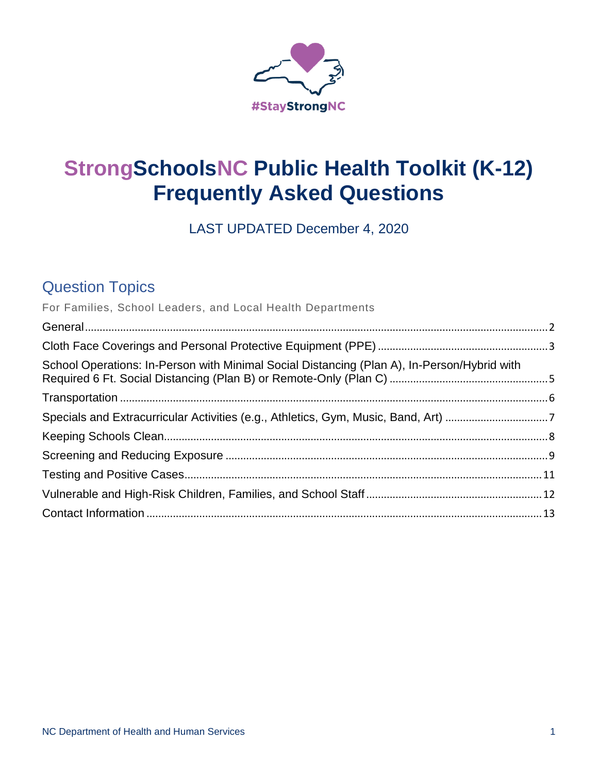

# **StrongSchoolsNC Public Health Toolkit (K-12) Frequently Asked Questions**

LAST UPDATED December 4, 2020

# Question Topics

| For Families, School Leaders, and Local Health Departments                                  |  |
|---------------------------------------------------------------------------------------------|--|
|                                                                                             |  |
|                                                                                             |  |
| School Operations: In-Person with Minimal Social Distancing (Plan A), In-Person/Hybrid with |  |
|                                                                                             |  |
|                                                                                             |  |
|                                                                                             |  |
|                                                                                             |  |
|                                                                                             |  |
|                                                                                             |  |
|                                                                                             |  |
|                                                                                             |  |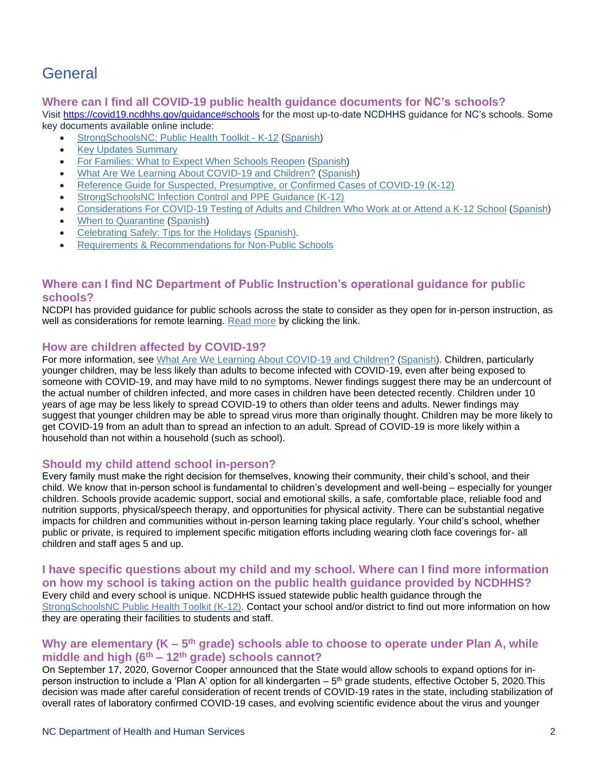# <span id="page-1-0"></span>General

## **Where can I find all COVID-19 public health guidance documents for NC's schools?**

Visit<https://covid19.ncdhhs.gov/guidance#schools> for the most up-to-date NCDHHS guidance for NC's schools. Some key documents available online include:

- [StrongSchoolsNC: Public Health Toolkit -](https://files.nc.gov/covid/documents/guidance/Strong-Schools-NC-Public-Health-Toolkit.pdf) K-12 [\(Spanish\)](http://files.nc.gov/covid/documents/guidance/education/Strong-Schools-NC-Public-Health-Toolkit-SPANISH.pdf)
- [Key Updates Summary](https://files.nc.gov/covid/documents/guidance/education/K-12-Public-Health-Guidance-Key-Updates.pdf)
- [For Families: What to Expect When Schools Reopen](https://files.nc.gov/covid/documents/guidance/education/NCDHHS-Guidance-for-When-Schools-Reopen.pdf) [\(Spanish\)](https://files.nc.gov/covid/documents/guidance/education/NCDHHS-Guidance-for-When-Schools-Reopen-Spanish.pdf)
- [What Are We Learning About COVID-19 and Children?](http://files.nc.gov/covid/documents/guidance/education/What-Are-We-Learning-About-Children-and-COVID-English.pdf) [\(Spanish\)](https://files.nc.gov/covid/documents/guidance/education/What-Are-We-Learning-About-Children-and-COVID-Spanish.pdf)
- [Reference Guide for Suspected, Presumptive, or Confirmed Cases of COVID-19 \(K-12\)](https://files.nc.gov/covid/PHT-ScreeningReferenceGuide_6.30.pdf)
- [StrongSchoolsNC Infection Control and PPE Guidance \(K-12\)](https://files.nc.gov/covid/documents/guidance/education/Strong-Schools-NC-Public-Health-Toolkit-PPE-Guidance.pdf)
- [Considerations For COVID-19 Testing of Adults and Children Who Work at or Attend a K-12 School](https://files.nc.gov/covid/documents/guidance/education/K-12-COVID-19-Testing-Considerations.pdf) [\(Spanish\)](https://files.nc.gov/covid/documents/guidance/education/K-12-COVID-19-Testing-Considerations-Spanish.pdf)
- [When to Quarantine](https://files.nc.gov/covid/documents/guidance/When-to-Quarantine-English.pdf) [\(Spanish\)](https://files.nc.gov/covid/documents/guidance/When-to-Quarantine-Spanish.pdf)
- [Celebrating Safely: Tips for the Holidays](https://files.nc.gov/covid/documents/guidance/education/NCDHHS-K-12-Holiday-Packet.pdf) [\(Spanish\).](https://files.nc.gov/covid/documents/guidance/education/NCDHHS-K-12-Holiday-Packet-Spanish.pdf)
- [Requirements & Recommendations for Non-Public Schools](https://files.nc.gov/covid/documents/guidance/education/Non-public-Schools-Guidance.pdf)

# **Where can I find NC Department of Public Instruction's operational guidance for public schools?**

NCDPI has provided guidance for public schools across the state to consider as they open for in-person instruction, as well as considerations for remote learning. [Read more](https://www.dpi.nc.gov/news/covid-19-response-resources/lighting-our-way-forward) by clicking the link.

## **How are children affected by COVID-19?**

For more information, see [What Are We Learning About COVID-19 and Children?](http://files.nc.gov/covid/documents/guidance/education/What-Are-We-Learning-About-Children-and-COVID-English.pdf) [\(Spanish\)](https://files.nc.gov/covid/documents/guidance/education/What-Are-We-Learning-About-Children-and-COVID-Spanish.pdf). Children, particularly younger children, may be less likely than adults to become infected with COVID-19, even after being exposed to someone with COVID-19, and may have mild to no symptoms. Newer findings suggest there may be an undercount of the actual number of children infected, and more cases in children have been detected recently. Children under 10 years of age may be less likely to spread COVID-19 to others than older teens and adults. Newer findings may suggest that younger children may be able to spread virus more than originally thought. Children may be more likely to get COVID-19 from an adult than to spread an infection to an adult. Spread of COVID-19 is more likely within a household than not within a household (such as school).

### **Should my child attend school in-person?**

Every family must make the right decision for themselves, knowing their community, their child's school, and their child. We know that in-person school is fundamental to children's development and well-being – especially for younger children. Schools provide academic support, social and emotional skills, a safe, comfortable place, reliable food and nutrition supports, physical/speech therapy, and opportunities for physical activity. There can be substantial negative impacts for children and communities without in-person learning taking place regularly. Your child's school, whether public or private, is required to implement specific mitigation efforts including wearing cloth face coverings for- all children and staff ages 5 and up.

**I have specific questions about my child and my school. Where can I find more information on how my school is taking action on the public health guidance provided by NCDHHS?** Every child and every school is unique. NCDHHS issued statewide public health guidance through the [StrongSchoolsNC Public Health Toolkit \(K-12\).](https://files.nc.gov/covid/documents/guidance/Strong-Schools-NC-Public-Health-Toolkit.pdf) Contact your school and/or district to find out more information on how they are operating their facilities to students and staff.

## Why are elementary (K – 5<sup>th</sup> grade) schools able to choose to operate under Plan A, while **middle and high (6th – 12th grade) schools cannot?**

On September 17, 2020, Governor Cooper announced that the State would allow schools to expand options for inperson instruction to include a 'Plan A' option for all kindergarten – 5<sup>th</sup> grade students, effective October 5, 2020.This decision was made after careful consideration of recent trends of COVID-19 rates in the state, including stabilization of overall rates of laboratory confirmed COVID-19 cases, and evolving scientific evidence about the virus and younger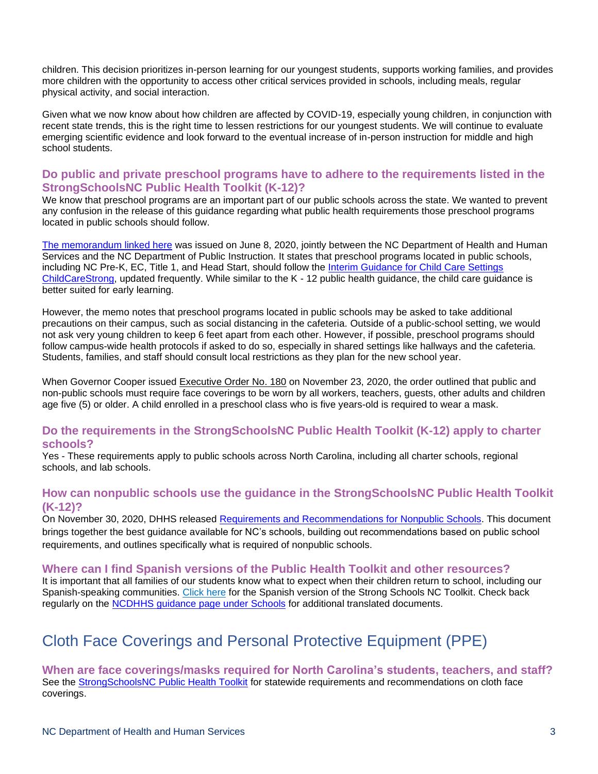children. This decision prioritizes in-person learning for our youngest students, supports working families, and provides more children with the opportunity to access other critical services provided in schools, including meals, regular physical activity, and social interaction.

Given what we now know about how children are affected by COVID-19, especially young children, in conjunction with recent state trends, this is the right time to lessen restrictions for our youngest students. We will continue to evaluate emerging scientific evidence and look forward to the eventual increase of in-person instruction for middle and high school students.

## **Do public and private preschool programs have to adhere to the requirements listed in the StrongSchoolsNC Public Health Toolkit (K-12)?**

We know that preschool programs are an important part of our public schools across the state. We wanted to prevent any confusion in the release of this guidance regarding what public health requirements those preschool programs located in public schools should follow.

[The memorandum linked here](https://files.nc.gov/covid/documents/guidance/Preschool-Memo-K-12-Reopening-Guidance.pdf) was issued on June 8, 2020, jointly between the NC Department of Health and Human Services and the NC Department of Public Instruction. It states that preschool programs located in public schools, including NC Pre-K, EC, Title 1, and Head Start, should follow the [Interim Guidance for Child Care Settings](https://files.nc.gov/ncdhhs/documents/files/covid-19/NC-Interim-Guidance-for-Child-Care-Settings.pdf) ChildCareStrong, updated frequently. While similar to the K - 12 public health guidance, the child care guidance is better suited for early learning.

However, the memo notes that preschool programs located in public schools may be asked to take additional precautions on their campus, such as social distancing in the cafeteria. Outside of a public-school setting, we would not ask very young children to keep 6 feet apart from each other. However, if possible, preschool programs should follow campus-wide health protocols if asked to do so, especially in shared settings like hallways and the cafeteria. Students, families, and staff should consult local restrictions as they plan for the new school year.

When Governor Cooper issued [Executive Order No. 180](https://files.nc.gov/governor/documents/files/EO180-Face-Coverings-Requirements.pdf) on November 23, 2020, the order outlined that public and non-public schools must require face coverings to be worn by all workers, teachers, guests, other adults and children age five (5) or older. A child enrolled in a preschool class who is five years-old is required to wear a mask.

### **Do the requirements in the [StrongSchoolsNC Public Health Toolkit \(K-12\)](https://files.nc.gov/covid/documents/guidance/Strong-Schools-NC-Public-Health-Toolkit.pdf) apply to charter schools?**

Yes - These requirements apply to public schools across North Carolina, including all charter schools, regional schools, and lab schools.

## **How can nonpublic schools use the guidance in the [StrongSchoolsNC Public Health Toolkit](https://files.nc.gov/covid/documents/guidance/Strong-Schools-NC-Public-Health-Toolkit.pdf)  [\(K-12\)?](https://files.nc.gov/covid/documents/guidance/Strong-Schools-NC-Public-Health-Toolkit.pdf)**

On November 30, 2020, DHHS released [Requirements and Recommendations](https://files.nc.gov/covid/documents/guidance/education/Non-public-Schools-Guidance.pdf) for Nonpublic Schools. This document brings together the best guidance available for NC's schools, building out recommendations based on public school requirements, and outlines specifically what is required of nonpublic schools.

### **Where can I find Spanish versions of the Public Health Toolkit and other resources?**

It is important that all families of our students know what to expect when their children return to school, including our Spanish-speaking communities. Click here [for the Spanish version of the Strong Schools NC Toolkit.](https://files.nc.gov/covid/documents/guidance/education/Strong-Schools-NC-Public-Health-Toolkit-SPANISH.pdf) Check back regularly on the [NCDHHS guidance page under Schools](https://covid19.ncdhhs.gov/guidance#schools) for additional translated documents.

# <span id="page-2-0"></span>Cloth Face Coverings and Personal Protective Equipment (PPE)

**When are face coverings/masks required for North Carolina's students, teachers, and staff?** See the [StrongSchoolsNC Public Health Toolkit](https://files.nc.gov/covid/documents/guidance/Strong-Schools-NC-Public-Health-Toolkit.pdf) for statewide requirements and recommendations on cloth face coverings.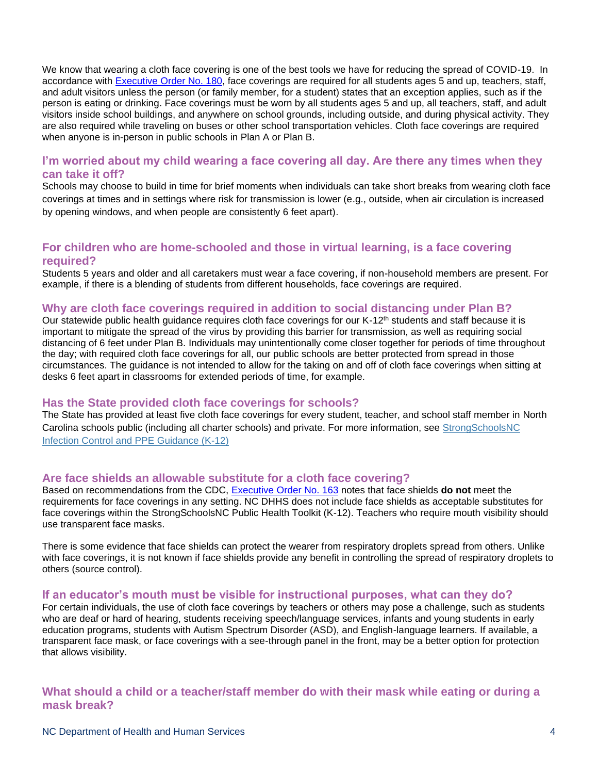We know that wearing a cloth face covering is one of the best tools we have for reducing the spread of COVID-19. In accordance with **Executive Order No. 180**, face coverings are required for all students ages 5 and up, teachers, staff, and adult visitors unless the person (or family member, for a student) states that an exception applies, such as if the person is eating or drinking. Face coverings must be worn by all students ages 5 and up, all teachers, staff, and adult visitors inside school buildings, and anywhere on school grounds, including outside, and during physical activity. They are also required while traveling on buses or other school transportation vehicles. Cloth face coverings are required when anyone is in-person in public schools in Plan A or Plan B.

## **I'm worried about my child wearing a face covering all day. Are there any times when they can take it off?**

Schools may choose to build in time for brief moments when individuals can take short breaks from wearing cloth face coverings at times and in settings where risk for transmission is lower (e.g., outside, when air circulation is increased by opening windows, and when people are consistently 6 feet apart).

# **For children who are home-schooled and those in virtual learning, is a face covering required?**

Students 5 years and older and all caretakers must wear a face covering, if non-household members are present. For example, if there is a blending of students from different households, face coverings are required.

### **Why are cloth face coverings required in addition to social distancing under Plan B?**

Our statewide public health guidance requires cloth face coverings for our K-12<sup>th</sup> students and staff because it is important to mitigate the spread of the virus by providing this barrier for transmission, as well as requiring social distancing of 6 feet under Plan B. Individuals may unintentionally come closer together for periods of time throughout the day; with required cloth face coverings for all, our public schools are better protected from spread in those circumstances. The guidance is not intended to allow for the taking on and off of cloth face coverings when sitting at desks 6 feet apart in classrooms for extended periods of time, for example.

## **Has the State provided cloth face coverings for schools?**

The State has provided at least five cloth face coverings for every student, teacher, and school staff member in North Carolina schools public (including all charter schools) and private. For more information, see [StrongSchoolsNC](https://files.nc.gov/covid/documents/guidance/education/Strong-Schools-NC-Public-Health-Toolkit-PPE-Guidance.pdf)  [Infection Control and PPE Guidance \(K-12\)](https://files.nc.gov/covid/documents/guidance/education/Strong-Schools-NC-Public-Health-Toolkit-PPE-Guidance.pdf)

## **Are face shields an allowable substitute for a cloth face covering?**

Based on recommendations from the CDC, [Executive Order No. 163](https://governor.nc.gov/documents/executive-order-no-163) notes that face shields **do not** meet the requirements for face coverings in any setting. NC DHHS does not include face shields as acceptable substitutes for face coverings within the StrongSchoolsNC Public Health Toolkit (K-12). Teachers who require mouth visibility should use transparent face masks.

There is some evidence that face shields can protect the wearer from respiratory droplets spread from others. Unlike with face coverings, it is not known if face shields provide any benefit in controlling the spread of respiratory droplets to others (source control).

### **If an educator's mouth must be visible for instructional purposes, what can they do?**

For certain individuals, the use of cloth face coverings by teachers or others may pose a challenge, such as students who are deaf or hard of hearing, students receiving speech/language services, infants and young students in early education programs, students with Autism Spectrum Disorder (ASD), and English-language learners. If available, a transparent face mask, or face coverings with a see-through panel in the front, may be a better option for protection that allows visibility.

# **What should a child or a teacher/staff member do with their mask while eating or during a mask break?**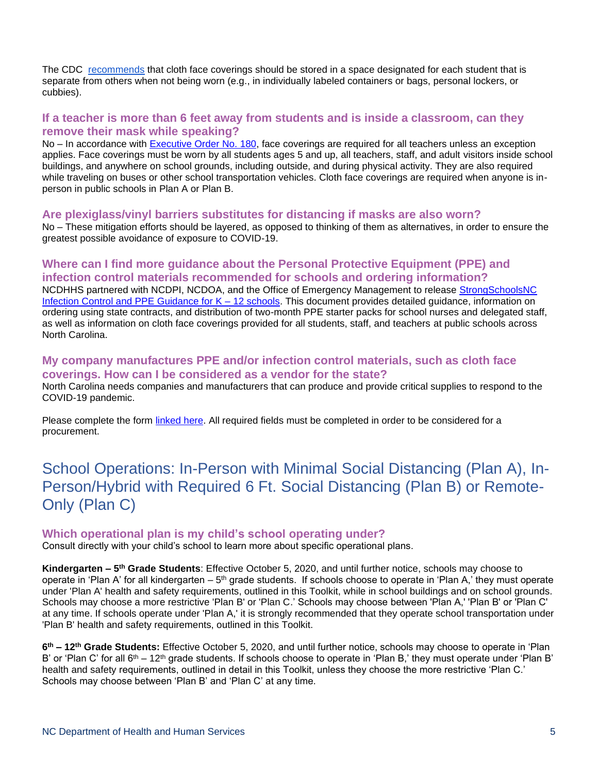The CDC [recommends](https://www.cdc.gov/coronavirus/2019-ncov/community/schools-childcare/cloth-face-cover.html) that cloth face coverings should be stored in a space designated for each student that is separate from others when not being worn (e.g., in individually labeled containers or bags, personal lockers, or cubbies).

## **If a teacher is more than 6 feet away from students and is inside a classroom, can they remove their mask while speaking?**

No – In accordance with [Executive Order No. 180,](https://files.nc.gov/governor/documents/files/EO180-Face-Coverings-Requirements.pdf) face coverings are required for all teachers unless an exception applies. Face coverings must be worn by all students ages 5 and up, all teachers, staff, and adult visitors inside school buildings, and anywhere on school grounds, including outside, and during physical activity. They are also required while traveling on buses or other school transportation vehicles. Cloth face coverings are required when anyone is inperson in public schools in Plan A or Plan B.

### **Are plexiglass/vinyl barriers substitutes for distancing if masks are also worn?**

No – These mitigation efforts should be layered, as opposed to thinking of them as alternatives, in order to ensure the greatest possible avoidance of exposure to COVID-19.

# **Where can I find more guidance about the Personal Protective Equipment (PPE) and infection control materials recommended for schools and ordering information?**

NCDHHS partnered with NCDPI, NCDOA, and the Office of Emergency Management to release [StrongSchoolsNC](https://files.nc.gov/covid/documents/guidance/education/Strong-Schools-NC-Public-Health-Toolkit-PPE-Guidance.pdf)  [Infection Control and PPE Guidance for K –](https://files.nc.gov/covid/documents/guidance/education/Strong-Schools-NC-Public-Health-Toolkit-PPE-Guidance.pdf) 12 schools. This document provides detailed guidance, information on ordering using state contracts, and distribution of two-month PPE starter packs for school nurses and delegated staff, as well as information on cloth face coverings provided for all students, staff, and teachers at public schools across North Carolina.

### **My company manufactures PPE and/or infection control materials, such as cloth face coverings. How can I be considered as a vendor for the state?**

North Carolina needs companies and manufacturers that can produce and provide critical supplies to respond to the COVID-19 pandemic.

Please complete the form [linked here.](https://covid19.ncdhhs.gov/procurement-form) All required fields must be completed in order to be considered for a procurement.

# <span id="page-4-0"></span>School Operations: In-Person with Minimal Social Distancing (Plan A), In-Person/Hybrid with Required 6 Ft. Social Distancing (Plan B) or Remote-Only (Plan C)

### **Which operational plan is my child's school operating under?**

Consult directly with your child's school to learn more about specific operational plans.

**Kindergarten – 5 th Grade Students**: Effective October 5, 2020, and until further notice, schools may choose to operate in 'Plan A' for all kindergarten – 5<sup>th</sup> grade students. If schools choose to operate in 'Plan A,' they must operate under 'Plan A' health and safety requirements, outlined in this Toolkit, while in school buildings and on school grounds. Schools may choose a more restrictive 'Plan B' or 'Plan C.' Schools may choose between 'Plan A,' 'Plan B' or 'Plan C' at any time. If schools operate under 'Plan A,' it is strongly recommended that they operate school transportation under 'Plan B' health and safety requirements, outlined in this Toolkit.

**6 th – 12th Grade Students:** Effective October 5, 2020, and until further notice, schools may choose to operate in 'Plan B' or 'Plan C' for all 6<sup>th</sup> – 12<sup>th</sup> grade students. If schools choose to operate in 'Plan B,' they must operate under 'Plan B' health and safety requirements, outlined in detail in this Toolkit, unless they choose the more restrictive 'Plan C.' Schools may choose between 'Plan B' and 'Plan C' at any time.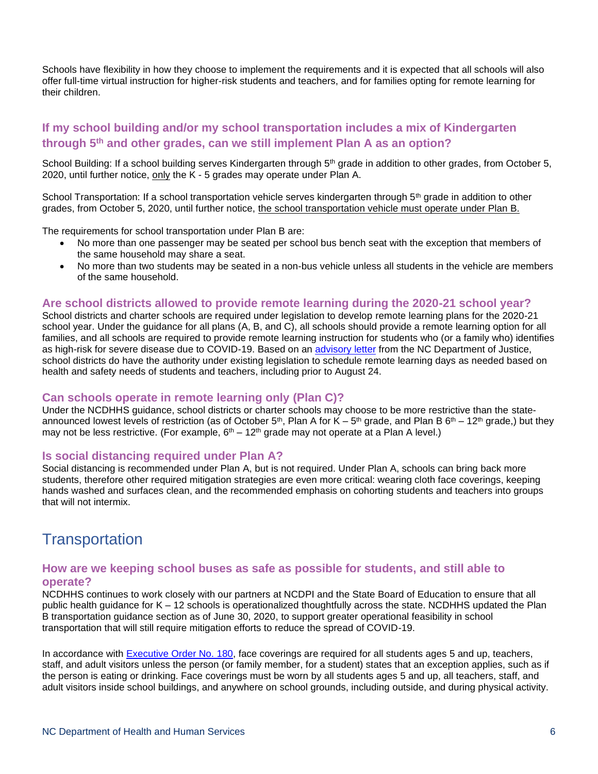Schools have flexibility in how they choose to implement the requirements and it is expected that all schools will also offer full-time virtual instruction for higher-risk students and teachers, and for families opting for remote learning for their children.

# **If my school building and/or my school transportation includes a mix of Kindergarten through 5th and other grades, can we still implement Plan A as an option?**

School Building: If a school building serves Kindergarten through 5<sup>th</sup> grade in addition to other grades, from October 5, 2020, until further notice, only the K - 5 grades may operate under Plan A.

School Transportation: If a school transportation vehicle serves kindergarten through 5<sup>th</sup> grade in addition to other grades, from October 5, 2020, until further notice, the school transportation vehicle must operate under Plan B.

The requirements for school transportation under Plan B are:

- No more than one passenger may be seated per school bus bench seat with the exception that members of the same household may share a seat.
- No more than two students may be seated in a non-bus vehicle unless all students in the vehicle are members of the same household.

#### **Are school districts allowed to provide remote learning during the 2020-21 school year?**

School districts and charter schools are required under legislation to develop remote learning plans for the 2020-21 school year. Under the guidance for all plans (A, B, and C), all schools should provide a remote learning option for all families, and all schools are required to provide remote learning instruction for students who (or a family who) identifies as high-risk for severe disease due to COVID-19. Based on an [advisory letter](https://files.nc.gov/governor/documents/files/Advisory_letter_re_remote_learning_final_with_signature_July_13.pdf) from the NC Department of Justice, school districts do have the authority under existing legislation to schedule remote learning days as needed based on health and safety needs of students and teachers, including prior to August 24.

### **Can schools operate in remote learning only (Plan C)?**

Under the NCDHHS guidance, school districts or charter schools may choose to be more restrictive than the stateannounced lowest levels of restriction (as of October 5<sup>th</sup>, Plan A for K – 5<sup>th</sup> grade, and Plan B 6<sup>th</sup> – 12<sup>th</sup> grade,) but they may not be less restrictive. (For example,  $6<sup>th</sup> - 12<sup>th</sup>$  grade may not operate at a Plan A level.)

#### **Is social distancing required under Plan A?**

Social distancing is recommended under Plan A, but is not required. Under Plan A, schools can bring back more students, therefore other required mitigation strategies are even more critical: wearing cloth face coverings, keeping hands washed and surfaces clean, and the recommended emphasis on cohorting students and teachers into groups that will not intermix.

# <span id="page-5-0"></span>**Transportation**

### **How are we keeping school buses as safe as possible for students, and still able to operate?**

NCDHHS continues to work closely with our partners at NCDPI and the State Board of Education to ensure that all public health guidance for K – 12 schools is operationalized thoughtfully across the state. NCDHHS updated the Plan B transportation guidance section as of June 30, 2020, to support greater operational feasibility in school transportation that will still require mitigation efforts to reduce the spread of COVID-19.

In accordance with [Executive Order No. 180,](https://files.nc.gov/governor/documents/files/EO180-Face-Coverings-Requirements.pdf) face coverings are required for all students ages 5 and up, teachers, staff, and adult visitors unless the person (or family member, for a student) states that an exception applies, such as if the person is eating or drinking. Face coverings must be worn by all students ages 5 and up, all teachers, staff, and adult visitors inside school buildings, and anywhere on school grounds, including outside, and during physical activity.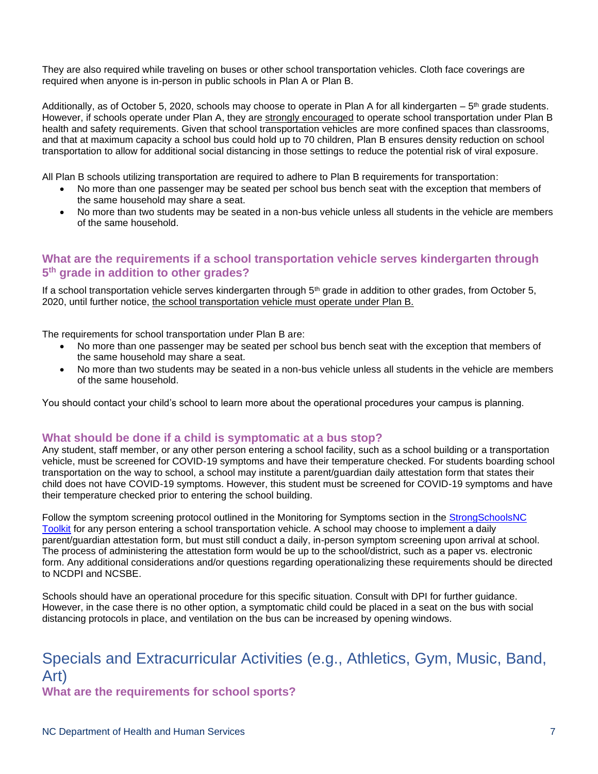They are also required while traveling on buses or other school transportation vehicles. Cloth face coverings are required when anyone is in-person in public schools in Plan A or Plan B.

Additionally, as of October 5, 2020, schools may choose to operate in Plan A for all kindergarten  $-5$ <sup>th</sup> grade students. However, if schools operate under Plan A, they are strongly encouraged to operate school transportation under Plan B health and safety requirements. Given that school transportation vehicles are more confined spaces than classrooms, and that at maximum capacity a school bus could hold up to 70 children, Plan B ensures density reduction on school transportation to allow for additional social distancing in those settings to reduce the potential risk of viral exposure.

All Plan B schools utilizing transportation are required to adhere to Plan B requirements for transportation:

- No more than one passenger may be seated per school bus bench seat with the exception that members of the same household may share a seat.
- No more than two students may be seated in a non-bus vehicle unless all students in the vehicle are members of the same household.

## **What are the requirements if a school transportation vehicle serves kindergarten through 5 th grade in addition to other grades?**

If a school transportation vehicle serves kindergarten through 5<sup>th</sup> grade in addition to other grades, from October 5, 2020, until further notice, the school transportation vehicle must operate under Plan B.

The requirements for school transportation under Plan B are:

- No more than one passenger may be seated per school bus bench seat with the exception that members of the same household may share a seat.
- No more than two students may be seated in a non-bus vehicle unless all students in the vehicle are members of the same household.

You should contact your child's school to learn more about the operational procedures your campus is planning.

### **What should be done if a child is symptomatic at a bus stop?**

Any student, staff member, or any other person entering a school facility, such as a school building or a transportation vehicle, must be screened for COVID-19 symptoms and have their temperature checked. For students boarding school transportation on the way to school, a school may institute a parent/guardian daily attestation form that states their child does not have COVID-19 symptoms. However, this student must be screened for COVID-19 symptoms and have their temperature checked prior to entering the school building.

Follow the symptom screening protocol outlined in the Monitoring for Symptoms section in the [StrongSchoolsNC](https://files.nc.gov/covid/documents/guidance/Strong-Schools-NC-Public-Health-Toolkit.pdf)  [Toolkit](https://files.nc.gov/covid/documents/guidance/Strong-Schools-NC-Public-Health-Toolkit.pdf) for any person entering a school transportation vehicle. A school may choose to implement a daily parent/guardian attestation form, but must still conduct a daily, in-person symptom screening upon arrival at school. The process of administering the attestation form would be up to the school/district, such as a paper vs. electronic form. Any additional considerations and/or questions regarding operationalizing these requirements should be directed to NCDPI and NCSBE.

Schools should have an operational procedure for this specific situation. Consult with DPI for further guidance. However, in the case there is no other option, a symptomatic child could be placed in a seat on the bus with social distancing protocols in place, and ventilation on the bus can be increased by opening windows.

# <span id="page-6-0"></span>Specials and Extracurricular Activities (e.g., Athletics, Gym, Music, Band, Art)

**What are the requirements for school sports?**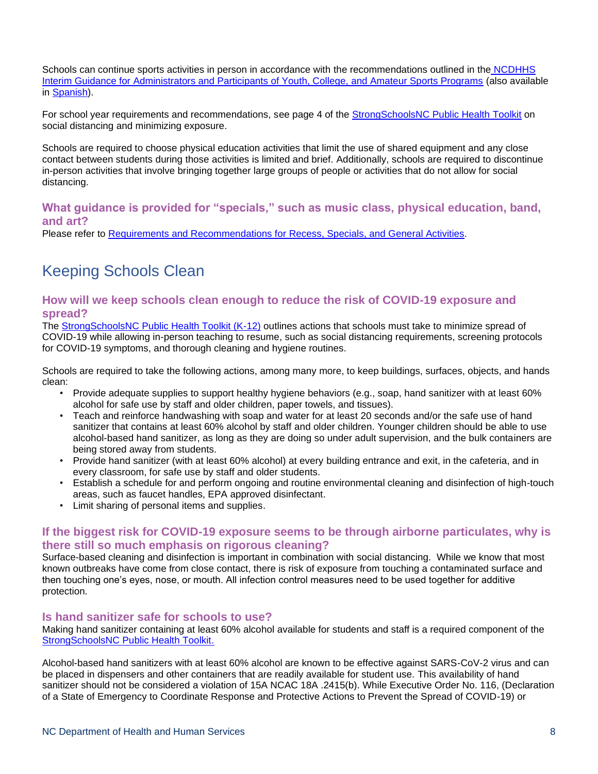Schools can continue sports activities in person in accordance with the recommendations outlined in the [NCDHHS](https://files.nc.gov/covid/documents/guidance/NCDHHS-Interim-Guidance-for-Youth-Amateur-Sports.pdf)  [Interim Guidance for Administrators and Participants of Youth, College, and Amateur Sports Programs](https://files.nc.gov/covid/documents/guidance/NCDHHS-Interim-Guidance-for-Youth-Amateur-Sports.pdf) (also available in [Spanish\)](https://files.nc.gov/covid/documents/guidance/Interim-Guidance-for-Youth-College-Amateur-Sports-Phase-2-Spanish.pdf).

For school year requirements and recommendations, see page 4 of the [StrongSchoolsNC Public Health](https://files.nc.gov/covid/documents/guidance/Strong-Schools-NC-Public-Health-Toolkit.pdf) Toolkit on social distancing and minimizing exposure.

Schools are required to choose physical education activities that limit the use of shared equipment and any close contact between students during those activities is limited and brief. Additionally, schools are required to discontinue in-person activities that involve bringing together large groups of people or activities that do not allow for social distancing.

## **What guidance is provided for "specials," such as music class, physical education, band, and art?**

Please refer to [Requirements and Recommendations for Recess, Specials, and General Activities.](https://files.nc.gov/covid/documents/guidance/education/Requirements-and-Recommendations-for-Recess-Specials-and-General-Activities.pdf)

# <span id="page-7-0"></span>Keeping Schools Clean

## **How will we keep schools clean enough to reduce the risk of COVID-19 exposure and spread?**

The [StrongSchoolsNC Public Health Toolkit \(K-12\)](https://files.nc.gov/covid/documents/guidance/Strong-Schools-NC-Public-Health-Toolkit.pdf) outlines actions that schools must take to minimize spread of COVID-19 while allowing in-person teaching to resume, such as social distancing requirements, screening protocols for COVID-19 symptoms, and thorough cleaning and hygiene routines.

Schools are required to take the following actions, among many more, to keep buildings, surfaces, objects, and hands clean:

- Provide adequate supplies to support healthy hygiene behaviors (e.g., soap, hand sanitizer with at least 60% alcohol for safe use by staff and older children, paper towels, and tissues).
- Teach and reinforce handwashing with soap and water for at least 20 seconds and/or the safe use of hand sanitizer that contains at least 60% alcohol by staff and older children. Younger children should be able to use alcohol-based hand sanitizer, as long as they are doing so under adult supervision, and the bulk containers are being stored away from students.
- Provide hand sanitizer (with at least 60% alcohol) at every building entrance and exit, in the cafeteria, and in every classroom, for safe use by staff and older students.
- Establish a schedule for and perform ongoing and routine environmental cleaning and disinfection of high-touch areas, such as faucet handles, EPA approved disinfectant.
- Limit sharing of personal items and supplies.

# **If the biggest risk for COVID-19 exposure seems to be through airborne particulates, why is there still so much emphasis on rigorous cleaning?**

Surface-based cleaning and disinfection is important in combination with social distancing. While we know that most known outbreaks have come from close contact, there is risk of exposure from touching a contaminated surface and then touching one's eyes, nose, or mouth. All infection control measures need to be used together for additive protection.

### **Is hand sanitizer safe for schools to use?**

Making hand sanitizer containing at least 60% alcohol available for students and staff is a required component of the [StrongSchoolsNC Public Health Toolkit.](https://files.nc.gov/covid/documents/guidance/Strong-Schools-NC-Public-Health-Toolkit.pdf)

Alcohol-based hand sanitizers with at least 60% alcohol are known to be effective against SARS-CoV-2 virus and can be placed in dispensers and other containers that are readily available for student use. This availability of hand sanitizer should not be considered a violation of 15A NCAC 18A .2415(b). While Executive Order No. 116, (Declaration of a State of Emergency to Coordinate Response and Protective Actions to Prevent the Spread of COVID-19) or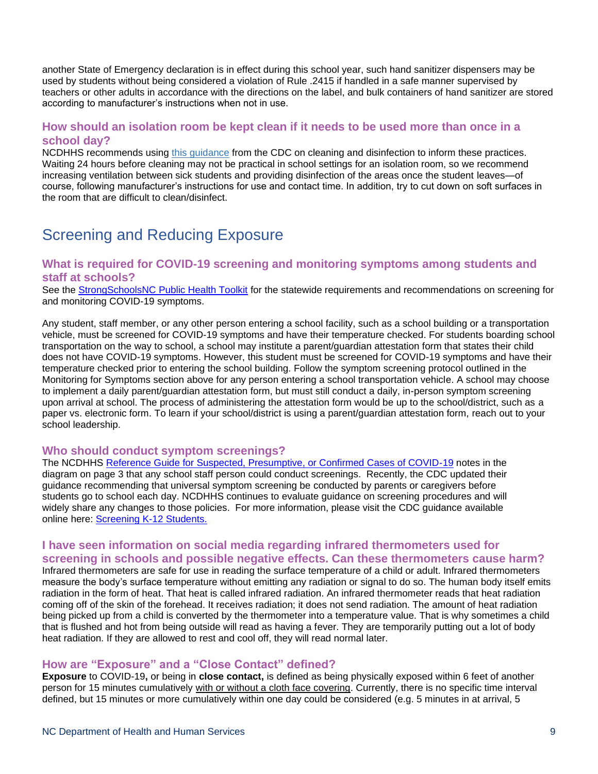another State of Emergency declaration is in effect during this school year, such hand sanitizer dispensers may be used by students without being considered a violation of Rule .2415 if handled in a safe manner supervised by teachers or other adults in accordance with the directions on the label, and bulk containers of hand sanitizer are stored according to manufacturer's instructions when not in use.

### **How should an isolation room be kept clean if it needs to be used more than once in a school day?**

NCDHHS recommends using [this guidance](https://www.cdc.gov/coronavirus/2019-ncov/community/organizations/cleaning-disinfection.html) from the CDC on cleaning and disinfection to inform these practices. Waiting 24 hours before cleaning may not be practical in school settings for an isolation room, so we recommend increasing ventilation between sick students and providing disinfection of the areas once the student leaves—of course, following manufacturer's instructions for use and contact time. In addition, try to cut down on soft surfaces in the room that are difficult to clean/disinfect.

# <span id="page-8-0"></span>Screening and Reducing Exposure

### **What is required for COVID-19 screening and monitoring symptoms among students and staff at schools?**

See the [StrongSchoolsNC Public Health Toolkit](https://files.nc.gov/covid/documents/guidance/Strong-Schools-NC-Public-Health-Toolkit.pdf) for the statewide requirements and recommendations on screening for and monitoring COVID-19 symptoms.

Any student, staff member, or any other person entering a school facility, such as a school building or a transportation vehicle, must be screened for COVID-19 symptoms and have their temperature checked. For students boarding school transportation on the way to school, a school may institute a parent/guardian attestation form that states their child does not have COVID-19 symptoms. However, this student must be screened for COVID-19 symptoms and have their temperature checked prior to entering the school building. Follow the symptom screening protocol outlined in the Monitoring for Symptoms section above for any person entering a school transportation vehicle. A school may choose to implement a daily parent/guardian attestation form, but must still conduct a daily, in-person symptom screening upon arrival at school. The process of administering the attestation form would be up to the school/district, such as a paper vs. electronic form. To learn if your school/district is using a parent/guardian attestation form, reach out to your school leadership.

### **Who should conduct symptom screenings?**

The NCDHHS [Reference Guide for Suspected, Presumptive, or Confirmed Cases of COVID-19](https://files.nc.gov/covid/PHT-ScreeningReferenceGuide_6.30.pdf) notes in the diagram on page 3 that any school staff person could conduct screenings. Recently, the CDC updated their guidance recommending that universal symptom screening be conducted by parents or caregivers before students go to school each day. NCDHHS continues to evaluate guidance on screening procedures and will widely share any changes to those policies. For more information, please visit the CDC guidance available online here: [Screening K-12 Students.](https://www.cdc.gov/coronavirus/2019-ncov/community/schools-childcare/symptom-screening.html)

# **I have seen information on social media regarding infrared thermometers used for screening in schools and possible negative effects. Can these thermometers cause harm?**

Infrared thermometers are safe for use in reading the surface temperature of a child or adult. Infrared thermometers measure the body's surface temperature without emitting any radiation or signal to do so. The human body itself emits radiation in the form of heat. That heat is called infrared radiation. An infrared thermometer reads that heat radiation coming off of the skin of the forehead. It receives radiation; it does not send radiation. The amount of heat radiation being picked up from a child is converted by the thermometer into a temperature value. That is why sometimes a child that is flushed and hot from being outside will read as having a fever. They are temporarily putting out a lot of body heat radiation. If they are allowed to rest and cool off, they will read normal later.

### **How are "Exposure" and a "Close Contact" defined?**

**Exposure** to COVID-19**,** or being in **close contact,** is defined as being physically exposed within 6 feet of another person for 15 minutes cumulatively with or without a cloth face covering. Currently, there is no specific time interval defined, but 15 minutes or more cumulatively within one day could be considered (e.g. 5 minutes in at arrival, 5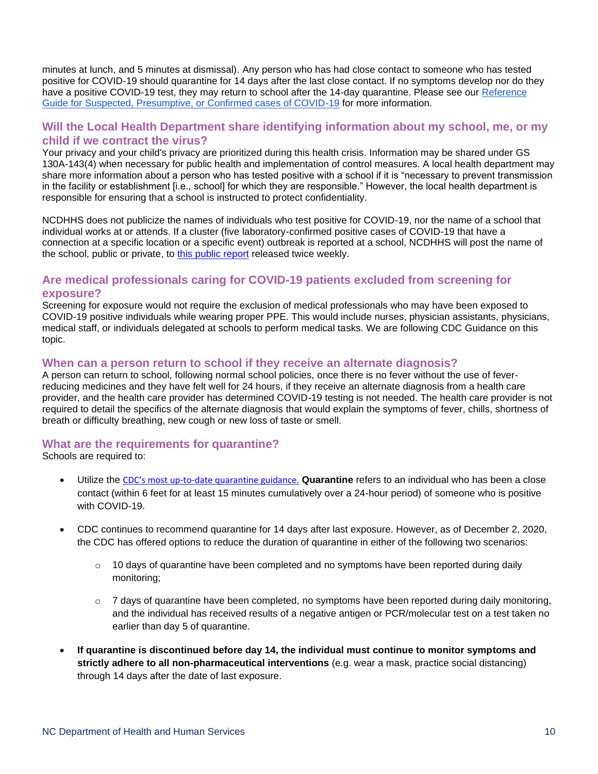minutes at lunch, and 5 minutes at dismissal). Any person who has had close contact to someone who has tested positive for COVID-19 should quarantine for 14 days after the last close contact. If no symptoms develop nor do they have a positive COVID-19 test, they may return to school after the 14-day quarantine. Please see our Reference [Guide for Suspected, Presumptive, or Confirmed cases of COVID-19](https://files.nc.gov/covid/PHT-ScreeningReferenceGuide_6.30.pdf) for more information.

### **Will the Local Health Department share identifying information about my school, me, or my child if we contract the virus?**

Your privacy and your child's privacy are prioritized during this health crisis. Information may be shared under GS 130A-143(4) when necessary for public health and implementation of control measures. A local health department may share more information about a person who has tested positive with a school if it is "necessary to prevent transmission in the facility or establishment [i.e., school] for which they are responsible." However, the local health department is responsible for ensuring that a school is instructed to protect confidentiality.

NCDHHS does not publicize the names of individuals who test positive for COVID-19, nor the name of a school that individual works at or attends. If a cluster (five laboratory-confirmed positive cases of COVID-19 that have a connection at a specific location or a specific event) outbreak is reported at a school, NCDHHS will post the name of the school, public or private, to [this public report](https://covid19.ncdhhs.gov/dashboard/outbreaks-and-clusters) released twice weekly.

# **Are medical professionals caring for COVID-19 patients excluded from screening for exposure?**

Screening for exposure would not require the exclusion of medical professionals who may have been exposed to COVID-19 positive individuals while wearing proper PPE. This would include nurses, physician assistants, physicians, medical staff, or individuals delegated at schools to perform medical tasks. We are following CDC Guidance on this topic.

### **When can a person return to school if they receive an alternate diagnosis?**

A person can return to school, following normal school policies, once there is no fever without the use of feverreducing medicines and they have felt well for 24 hours, if they receive an alternate diagnosis from a health care provider, and the health care provider has determined COVID-19 testing is not needed. The health care provider is not required to detail the specifics of the alternate diagnosis that would explain the symptoms of fever, chills, shortness of breath or difficulty breathing, new cough or new loss of taste or smell.

## **What are the requirements for quarantine?**

Schools are required to:

- Utilize the CDC's most up[-to-date quarantine guidance.](https://gbc-word-edit.officeapps.live.com/we/1.%09https:/www.cdc.gov/coronavirus/2019-ncov/more/scientific-brief-options-to-reduce-quarantine.html) **Quarantine** refers to an individual who has been a close contact (within 6 feet for at least 15 minutes cumulatively over a 24-hour period) of someone who is positive with COVID-19.
- CDC continues to recommend quarantine for 14 days after last exposure. However, as of December 2, 2020, the CDC has offered options to reduce the duration of quarantine in either of the following two scenarios:
	- $\circ$  10 days of quarantine have been completed and no symptoms have been reported during daily monitoring;
	- $\circ$  7 days of quarantine have been completed, no symptoms have been reported during daily monitoring, and the individual has received results of a negative antigen or PCR/molecular test on a test taken no earlier than day 5 of quarantine.
- **If quarantine is discontinued before day 14, the individual must continue to monitor symptoms and strictly adhere to all non-pharmaceutical interventions** (e.g. wear a mask, practice social distancing) through 14 days after the date of last exposure.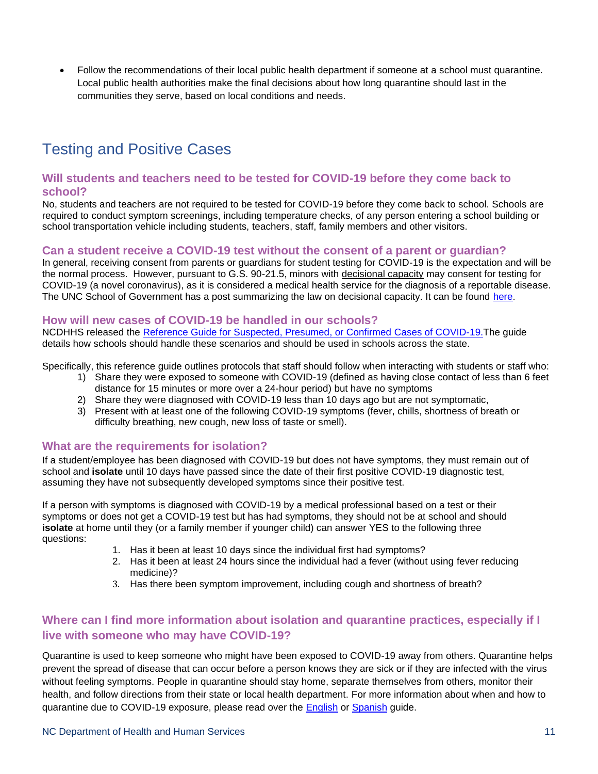• Follow the recommendations of their local public health department if someone at a school must quarantine. Local public health authorities make the final decisions about how long quarantine should last in the communities they serve, based on local conditions and needs.

# <span id="page-10-0"></span>Testing and Positive Cases

## **Will students and teachers need to be tested for COVID-19 before they come back to school?**

No, students and teachers are not required to be tested for COVID-19 before they come back to school. Schools are required to conduct symptom screenings, including temperature checks, of any person entering a school building or school transportation vehicle including students, teachers, staff, family members and other visitors.

## **Can a student receive a COVID-19 test without the consent of a parent or guardian?**

In general, receiving consent from parents or guardians for student testing for COVID-19 is the expectation and will be the normal process. However, pursuant to G.S. 90-21.5, minors with decisional capacity may consent for testing for COVID-19 (a novel coronavirus), as it is considered a medical health service for the diagnosis of a reportable disease. The UNC School of Government has a post summarizing the law on decisional capacity. It can be found [here.](https://www.sog.unc.edu/sites/www.sog.unc.edu/files/course_materials/Consent%20to%20Medical%20Treatment%20for%20Minor%20Children.pdf)

### **How will new cases of COVID-19 be handled in our schools?**

NCDHHS released the [Reference Guide for Suspected, Presumed, or Confirmed Cases of COVID-19.T](https://files.nc.gov/covid/documents/guidance/education/PHT-Screening-Reference-Guide.pdf)he guide details how schools should handle these scenarios and should be used in schools across the state.

Specifically, this reference guide outlines protocols that staff should follow when interacting with students or staff who:

- 1) Share they were exposed to someone with COVID-19 (defined as having close contact of less than 6 feet distance for 15 minutes or more over a 24-hour period) but have no symptoms
- 2) Share they were diagnosed with COVID-19 less than 10 days ago but are not symptomatic,
- 3) Present with at least one of the following COVID-19 symptoms (fever, chills, shortness of breath or difficulty breathing, new cough, new loss of taste or smell).

## **What are the requirements for isolation?**

If a student/employee has been diagnosed with COVID-19 but does not have symptoms, they must remain out of school and **isolate** until 10 days have passed since the date of their first positive COVID-19 diagnostic test, assuming they have not subsequently developed symptoms since their positive test.

If a person with symptoms is diagnosed with COVID-19 by a medical professional based on a test or their symptoms or does not get a COVID-19 test but has had symptoms, they should not be at school and should **isolate** at home until they (or a family member if younger child) can answer YES to the following three questions:

- 1. Has it been at least 10 days since the individual first had symptoms?
- 2. Has it been at least 24 hours since the individual had a fever (without using fever reducing medicine)?
- 3. Has there been symptom improvement, including cough and shortness of breath?

# **Where can I find more information about isolation and quarantine practices, especially if I live with someone who may have COVID-19?**

Quarantine is used to keep someone who might have been exposed to COVID-19 away from others. Quarantine helps prevent the spread of disease that can occur before a person knows they are sick or if they are infected with the virus without feeling symptoms. People in quarantine should stay home, separate themselves from others, monitor their health, and follow directions from their state or local health department. For more information about when and how to quarantine due to COVID-19 exposure, please read over the [English](https://files.nc.gov/covid/documents/guidance/When-to-Quarantine-English.pdf) or [Spanish](https://files.nc.gov/covid/documents/guidance/When-to-Quarantine-Spanish.pdf) guide.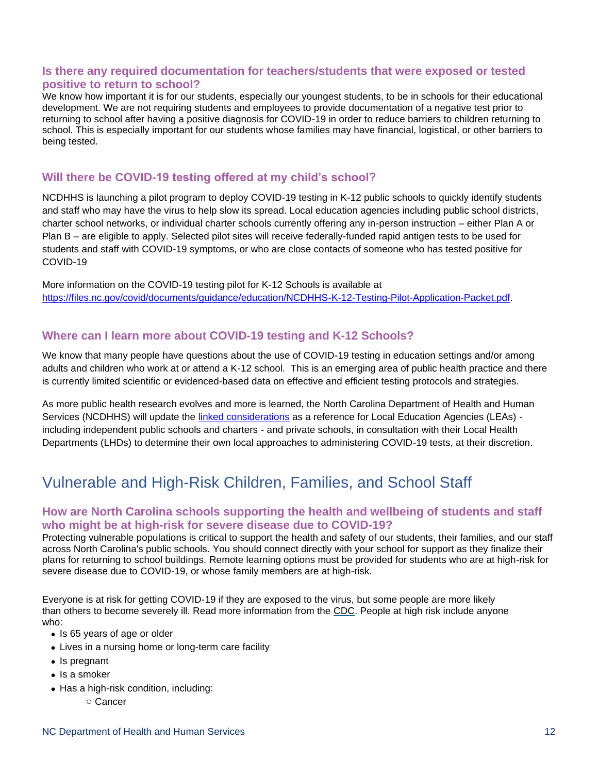## **Is there any required documentation for teachers/students that were exposed or tested positive to return to school?**

We know how important it is for our students, especially our youngest students, to be in schools for their educational development. We are not requiring students and employees to provide documentation of a negative test prior to returning to school after having a positive diagnosis for COVID-19 in order to reduce barriers to children returning to school. This is especially important for our students whose families may have financial, logistical, or other barriers to being tested.

## **Will there be COVID-19 testing offered at my child's school?**

NCDHHS is launching a pilot program to deploy COVID-19 testing in K-12 public schools to quickly identify students and staff who may have the virus to help slow its spread. Local education agencies including public school districts, charter school networks, or individual charter schools currently offering any in-person instruction – either Plan A or Plan B – are eligible to apply. Selected pilot sites will receive federally-funded rapid antigen tests to be used for students and staff with COVID-19 symptoms, or who are close contacts of someone who has tested positive for COVID-19

More information on the COVID-19 testing pilot for K-12 Schools is available at [https://files.nc.gov/covid/documents/guidance/education/NCDHHS-K-12-Testing-Pilot-Application-Packet.pdf.](https://files.nc.gov/covid/documents/guidance/education/NCDHHS-K-12-Testing-Pilot-Application-Packet.pdf)

# **Where can I learn more about COVID-19 testing and K-12 Schools?**

We know that many people have questions about the use of COVID-19 testing in education settings and/or among adults and children who work at or attend a K-12 school. This is an emerging area of public health practice and there is currently limited scientific or evidenced-based data on effective and efficient testing protocols and strategies.

As more public health research evolves and more is learned, the North Carolina Department of Health and Human Services (NCDHHS) will update the [linked considerations](https://files.nc.gov/covid/documents/guidance/education/K-12-COVID-19-Testing-Considerations.pdf) as a reference for Local Education Agencies (LEAs) including independent public schools and charters - and private schools, in consultation with their Local Health Departments (LHDs) to determine their own local approaches to administering COVID-19 tests, at their discretion.

# <span id="page-11-0"></span>Vulnerable and High-Risk Children, Families, and School Staff

## **How are North Carolina schools supporting the health and wellbeing of students and staff who might be at high-risk for severe disease due to COVID-19?**

Protecting vulnerable populations is critical to support the health and safety of our students, their families, and our staff across North Carolina's public schools. You should connect directly with your school for support as they finalize their plans for returning to school buildings. Remote learning options must be provided for students who are at high-risk for severe disease due to COVID-19, or whose family members are at high-risk.

Everyone is at risk for getting COVID-19 if they are exposed to the virus, but some people are more likely than others to become severely ill. Read more information from the [CDC.](https://www.cdc.gov/coronavirus/2019-ncov/need-extra-precautions/index.html) People at high risk include anyone who:

- Is 65 years of age or older
- Lives in a nursing home or long-term care facility
- Is pregnant
- Is a smoker
- Has a high-risk condition, including:
	- o Cancer